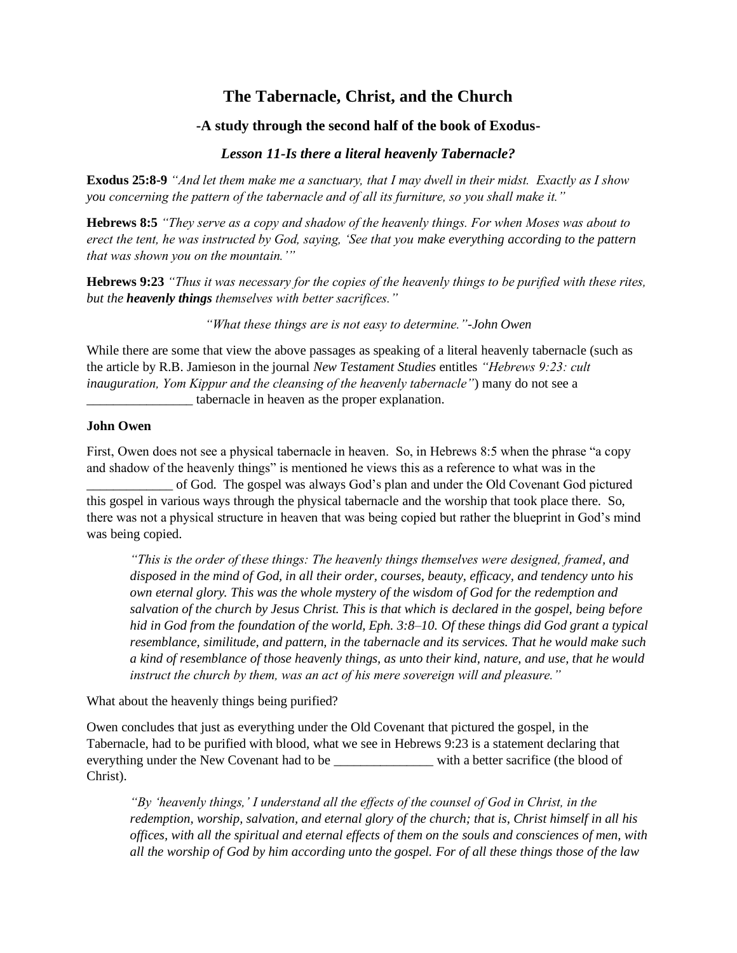## **The Tabernacle, Christ, and the Church**

## **-A study through the second half of the book of Exodus-**

## *Lesson 11-Is there a literal heavenly Tabernacle?*

**Exodus 25:8-9** *"And let them make me a sanctuary, that I may dwell in their midst. Exactly as I show you concerning the pattern of the tabernacle and of all its furniture, so you shall make it."*

**Hebrews 8:5** *"They serve as a copy and shadow of the heavenly things. For when Moses was about to erect the tent, he was instructed by God, saying, 'See that you make everything according to the pattern that was shown you on the mountain.'"*

**Hebrews 9:23** *"Thus it was necessary for the copies of the heavenly things to be purified with these rites, but the heavenly things themselves with better sacrifices."*

*"What these things are is not easy to determine."-John Owen*

While there are some that view the above passages as speaking of a literal heavenly tabernacle (such as the article by R.B. Jamieson in the journal *New Testament Studies* entitles *"Hebrews 9:23: cult inauguration, Yom Kippur and the cleansing of the heavenly tabernacle"*) many do not see a tabernacle in heaven as the proper explanation.

## **John Owen**

First, Owen does not see a physical tabernacle in heaven. So, in Hebrews 8:5 when the phrase "a copy and shadow of the heavenly things" is mentioned he views this as a reference to what was in the

\_\_\_\_\_\_\_\_\_\_\_\_\_ of God. The gospel was always God's plan and under the Old Covenant God pictured this gospel in various ways through the physical tabernacle and the worship that took place there. So, there was not a physical structure in heaven that was being copied but rather the blueprint in God's mind was being copied.

*"This is the order of these things: The heavenly things themselves were designed, framed, and disposed in the mind of God, in all their order, courses, beauty, efficacy, and tendency unto his own eternal glory. This was the whole mystery of the wisdom of God for the redemption and salvation of the church by Jesus Christ. This is that which is declared in the gospel, being before hid in God from the foundation of the world, Eph. 3:8–10. Of these things did God grant a typical resemblance, similitude, and pattern, in the tabernacle and its services. That he would make such a kind of resemblance of those heavenly things, as unto their kind, nature, and use, that he would instruct the church by them, was an act of his mere sovereign will and pleasure."*

What about the heavenly things being purified?

Owen concludes that just as everything under the Old Covenant that pictured the gospel, in the Tabernacle, had to be purified with blood, what we see in Hebrews 9:23 is a statement declaring that everything under the New Covenant had to be \_\_\_\_\_\_\_\_\_\_\_\_\_\_\_\_\_\_\_\_\_\_\_\_\_ with a better sacrifice (the blood of Christ).

*"By 'heavenly things,' I understand all the effects of the counsel of God in Christ, in the redemption, worship, salvation, and eternal glory of the church; that is, Christ himself in all his offices, with all the spiritual and eternal effects of them on the souls and consciences of men, with all the worship of God by him according unto the gospel. For of all these things those of the law*